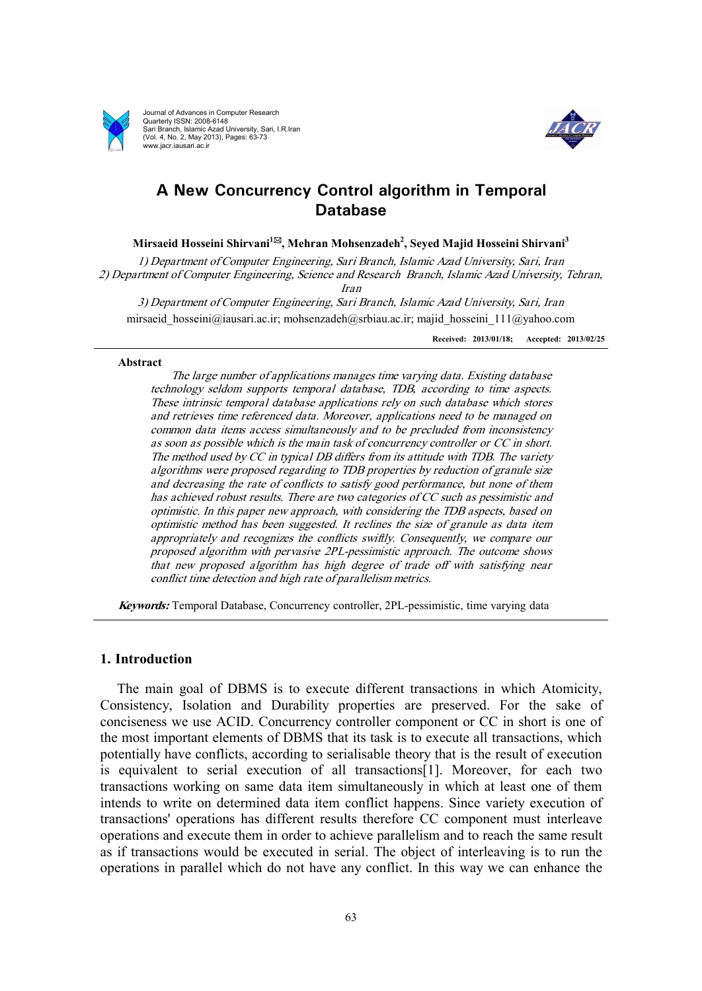

Journal of Advances in Computer Research Quarterly ISSN: 2008-6148 Sari Branch, Islamic Azad University, Sari, I.R.Iran (Vol. 4, No. 2, May 2013), Pages: 63-73 www.jacr.iausari.ac.ir



# **A New Concurrency Control algorithm in Temporal Database**

**Mirsaeid Hosseini Shirvani<sup>1</sup>\*, Mehran Mohsenzadeh<sup>2</sup> , Seyed Majid Hosseini Shirvani<sup>3</sup>**

*1) Department of Computer Engineering, Sari Branch, Islamic Azad University, Sari, Iran 2) Department of Computer Engineering, Science and Research Branch, Islamic Azad University, Tehran, Iran 3) Department of Computer Engineering, Sari Branch, Islamic Azad University, Sari, Iran* 

mirsaeid hosseini@iausari.ac.ir; mohsenzadeh@srbiau.ac.ir; majid hosseini 111@yahoo.com

**Received: 2013/01/18; Accepted: 2013/02/25**

#### **Abstract**

*The large number of applications manages time varying data. Existing database technology seldom supports temporal database, TDB, according to time aspects. These intrinsic temporal database applications rely on such database which stores and retrieves time referenced data. Moreover, applications need to be managed on common data items access simultaneously and to be precluded from inconsistency as soon as possible which is the main task of concurrency controller or CC in short. The method used by CC in typical DB differs from its attitude with TDB. The variety algorithms were proposed regarding to TDB properties by reduction of granule size and decreasing the rate of conflicts to satisfy good performance, but none of them has achieved robust results. There are two categories of CC such as pessimistic and optimistic. In this paper new approach, with considering the TDB aspects, based on optimistic method has been suggested. It reclines the size of granule as data item appropriately and recognizes the conflicts swiftly. Consequently, we compare our proposed algorithm with pervasive 2PL-pessimistic approach. The outcome shows that new proposed algorithm has high degree of trade off with satisfying near conflict time detection and high rate of parallelism metrics.*

*Keywords:* Temporal Database, Concurrency controller, 2PL-pessimistic, time varying data

## **1. Introduction**

The main goal of DBMS is to execute different transactions in which Atomicity, Consistency, Isolation and Durability properties are preserved. For the sake of conciseness we use ACID. Concurrency controller component or CC in short is one of the most important elements of DBMS that its task is to execute all transactions, which potentially have conflicts, according to serialisable theory that is the result of execution is equivalent to serial execution of all transactions[1]. Moreover, for each two transactions working on same data item simultaneously in which at least one of them intends to write on determined data item conflict happens. Since variety execution of transactions' operations has different results therefore CC component must interleave operations and execute them in order to achieve parallelism and to reach the same result as if transactions would be executed in serial. The object of interleaving is to run the operations in parallel which do not have any conflict. In this way we can enhance the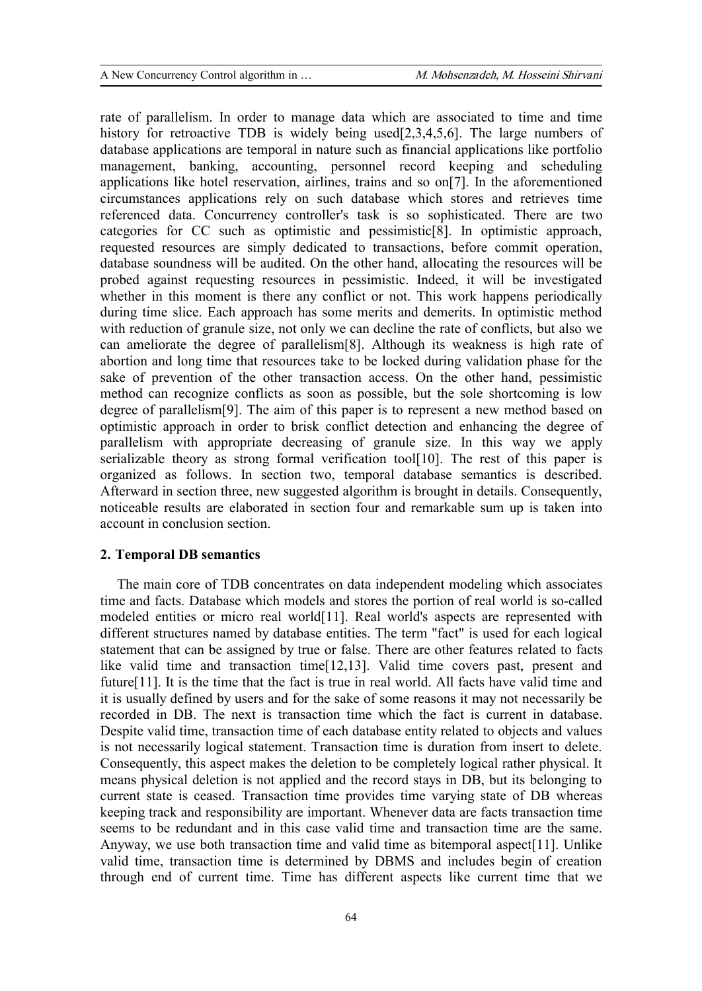rate of parallelism. In order to manage data which are associated to time and time history for retroactive TDB is widely being used[2,3,4,5,6]. The large numbers of database applications are temporal in nature such as financial applications like portfolio management, banking, accounting, personnel record keeping and scheduling applications like hotel reservation, airlines, trains and so on[7]. In the aforementioned circumstances applications rely on such database which stores and retrieves time referenced data. Concurrency controller's task is so sophisticated. There are two categories for CC such as optimistic and pessimistic[8]. In optimistic approach, requested resources are simply dedicated to transactions, before commit operation, database soundness will be audited. On the other hand, allocating the resources will be probed against requesting resources in pessimistic. Indeed, it will be investigated whether in this moment is there any conflict or not. This work happens periodically during time slice. Each approach has some merits and demerits. In optimistic method with reduction of granule size, not only we can decline the rate of conflicts, but also we can ameliorate the degree of parallelism[8]. Although its weakness is high rate of abortion and long time that resources take to be locked during validation phase for the sake of prevention of the other transaction access. On the other hand, pessimistic method can recognize conflicts as soon as possible, but the sole shortcoming is low degree of parallelism[9]. The aim of this paper is to represent a new method based on optimistic approach in order to brisk conflict detection and enhancing the degree of parallelism with appropriate decreasing of granule size. In this way we apply serializable theory as strong formal verification tool[10]. The rest of this paper is organized as follows. In section two, temporal database semantics is described. Afterward in section three, new suggested algorithm is brought in details. Consequently, noticeable results are elaborated in section four and remarkable sum up is taken into account in conclusion section.

## **2. Temporal DB semantics**

The main core of TDB concentrates on data independent modeling which associates time and facts. Database which models and stores the portion of real world is so-called modeled entities or micro real world[11]. Real world's aspects are represented with different structures named by database entities. The term "fact" is used for each logical statement that can be assigned by true or false. There are other features related to facts like valid time and transaction time[12,13]. Valid time covers past, present and future[11]. It is the time that the fact is true in real world. All facts have valid time and it is usually defined by users and for the sake of some reasons it may not necessarily be recorded in DB. The next is transaction time which the fact is current in database. Despite valid time, transaction time of each database entity related to objects and values is not necessarily logical statement. Transaction time is duration from insert to delete. Consequently, this aspect makes the deletion to be completely logical rather physical. It means physical deletion is not applied and the record stays in DB, but its belonging to current state is ceased. Transaction time provides time varying state of DB whereas keeping track and responsibility are important. Whenever data are facts transaction time seems to be redundant and in this case valid time and transaction time are the same. Anyway, we use both transaction time and valid time as bitemporal aspect[11]. Unlike valid time, transaction time is determined by DBMS and includes begin of creation through end of current time. Time has different aspects like current time that we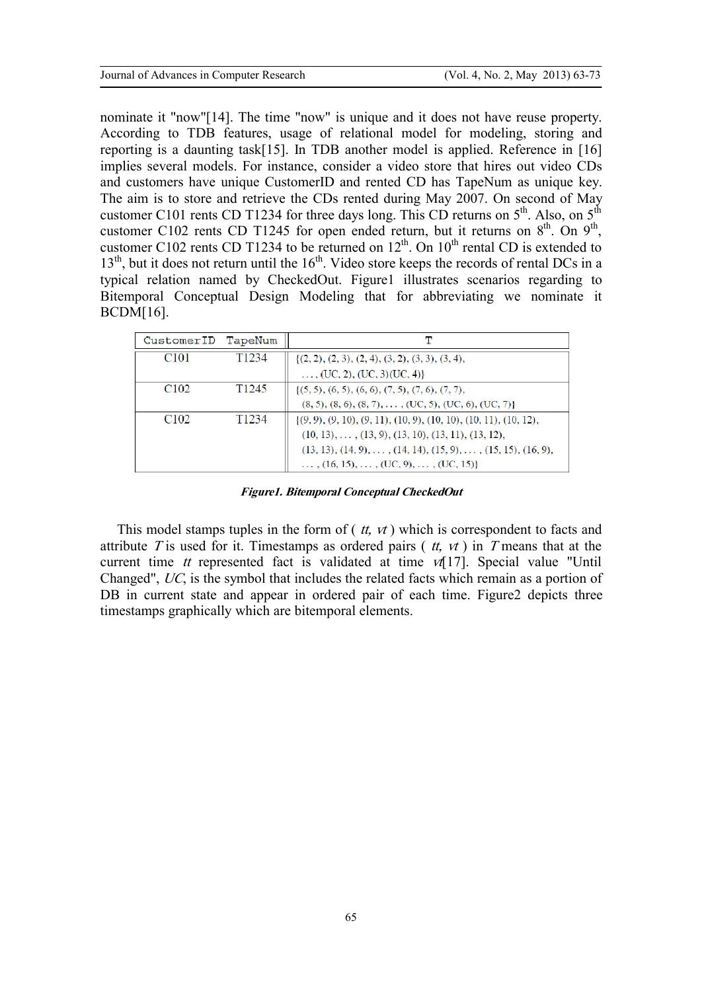nominate it "now"[14]. The time "now" is unique and it does not have reuse property. According to TDB features, usage of relational model for modeling, storing and reporting is a daunting task[15]. In TDB another model is applied. Reference in [16] implies several models. For instance, consider a video store that hires out video CDs and customers have unique CustomerID and rented CD has TapeNum as unique key. The aim is to store and retrieve the CDs rented during May 2007. On second of May customer C101 rents CD T1234 for three days long. This CD returns on  $5<sup>th</sup>$ . Also, on  $5<sup>th</sup>$ customer C102 rents CD T1245 for open ended return, but it returns on  $8<sup>th</sup>$ . On  $9<sup>th</sup>$ , customer C102 rents CD T1234 to be returned on  $12^{th}$ . On  $10^{th}$  rental CD is extended to  $13<sup>th</sup>$ , but it does not return until the  $16<sup>th</sup>$ . Video store keeps the records of rental DCs in a typical relation named by CheckedOut. Figure1 illustrates scenarios regarding to Bitemporal Conceptual Design Modeling that for abbreviating we nominate it BCDM[16].

| CustomerID                   | TapeNum           | Τ                                                                                     |
|------------------------------|-------------------|---------------------------------------------------------------------------------------|
| C <sub>10</sub> <sup>1</sup> | T <sub>1234</sub> | $\{(2, 2), (2, 3), (2, 4), (3, 2), (3, 3), (3, 4),$                                   |
|                              |                   | , (UC, 2), (UC, 3) (UC, 4) }                                                          |
| C <sub>102</sub>             | T <sub>1245</sub> | $\{(5,5), (6,5), (6,6), (7,5), (7,6), (7,7),$                                         |
|                              |                   | $(8, 5), (8, 6), (8, 7), \ldots, (UC, 5), (UC, 6), (UC, 7)$                           |
| C <sub>102</sub>             | T <sub>1234</sub> | $(9, 9)$ , $(9, 10)$ , $(9, 11)$ , $(10, 9)$ , $(10, 10)$ , $(10, 11)$ , $(10, 12)$ , |
|                              |                   | $(10, 13), \ldots, (13, 9), (13, 10), (13, 11), (13, 12),$                            |
|                              |                   | $(13, 13), (14, 9), \ldots, (14, 14), (15, 9), \ldots, (15, 15), (16, 9),$            |
|                              |                   | $\ldots$ , (16, 15), $\ldots$ , (UC, 9), $\ldots$ , (UC, 15)                          |

*Figure1. Bitemporal Conceptual CheckedOut* 

This model stamps tuples in the form of ( *tt, vt* ) which is correspondent to facts and attribute *<sup>T</sup>* is used for it. Timestamps as ordered pairs ( *tt, vt* ) in *<sup>T</sup>* means that at the current time *tt* represented fact is validated at time *vt*[17]. Special value "Until Changed", *UC*, is the symbol that includes the related facts which remain as a portion of DB in current state and appear in ordered pair of each time. Figure2 depicts three timestamps graphically which are bitemporal elements.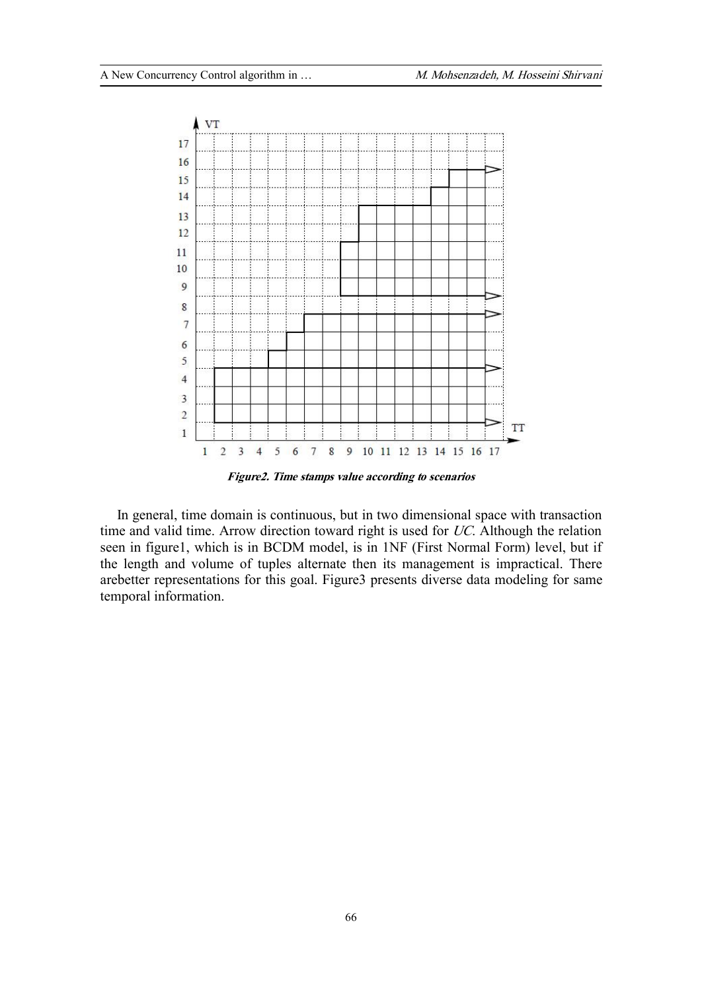

*Figure2. Time stamps value according to scenarios* 

In general, time domain is continuous, but in two dimensional space with transaction time and valid time. Arrow direction toward right is used for *UC*. Although the relation seen in figure1, which is in BCDM model, is in 1NF (First Normal Form) level, but if the length and volume of tuples alternate then its management is impractical. There arebetter representations for this goal. Figure3 presents diverse data modeling for same temporal information.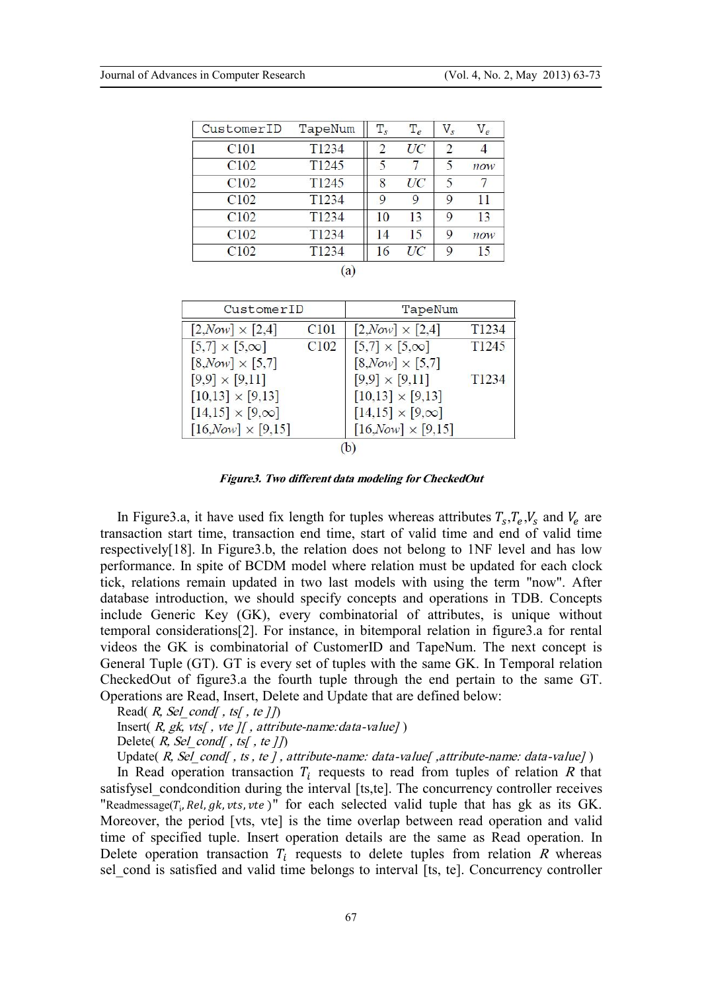| CustomerID       | TapeNum           | $T_{s}$       | $T_e$ | $V_{\rm s}$   | $V_e$ |
|------------------|-------------------|---------------|-------|---------------|-------|
| C <sub>101</sub> | T1234             | $\mathcal{D}$ | UC    | $\mathcal{D}$ |       |
| C <sub>102</sub> | T <sub>1245</sub> | 5             | 7     | 5             | now   |
| C <sub>102</sub> | T <sub>1245</sub> | 8             | UC    | 5             |       |
| C <sub>102</sub> | T1234             | $\mathbf Q$   | 9     | 9             | 11    |
| C <sub>102</sub> | T1234             | 10            | 13    | 9             | 13    |
| C <sub>102</sub> | T <sub>1234</sub> | 14            | 15    | 9             | now   |
| C <sub>102</sub> | T <sub>1234</sub> | 16            | UC    | 9             | 15    |

| CustomerID                                        |                  | TapeNum                     |                   |  |  |  |  |  |
|---------------------------------------------------|------------------|-----------------------------|-------------------|--|--|--|--|--|
| $[2, Now] \times [2, 4]$                          | C <sub>101</sub> | $[2, Now] \times [2, 4]$    | T <sub>1234</sub> |  |  |  |  |  |
| $[5,7] \times [5,\infty]$                         | C <sub>102</sub> | $[5,7] \times [5,\infty]$   | T <sub>1245</sub> |  |  |  |  |  |
| $[8, Now] \times [5,7]$                           |                  | $[8, Now] \times [5,7]$     |                   |  |  |  |  |  |
| $[9,9] \times [9,11]$                             |                  | $[9,9] \times [9,11]$       | T <sub>1234</sub> |  |  |  |  |  |
| $[10,13] \times [9,13]$                           |                  | $[10,13] \times [9,13]$     |                   |  |  |  |  |  |
| $\left[14,15\right] \times \left[9,\infty\right]$ |                  | $[14,15] \times [9,\infty]$ |                   |  |  |  |  |  |
| $[16, Now] \times [9, 15]$                        |                  | $[16, Now] \times [9, 15]$  |                   |  |  |  |  |  |
|                                                   |                  |                             |                   |  |  |  |  |  |

*Figure3. Two different data modeling for CheckedOut* 

In Figure 3.a, it have used fix length for tuples whereas attributes  $T_s, T_e, V_s$  and  $V_e$  are transaction start time, transaction end time, start of valid time and end of valid time respectively[18]. In Figure3.b, the relation does not belong to 1NF level and has low performance. In spite of BCDM model where relation must be updated for each clock tick, relations remain updated in two last models with using the term "now". After database introduction, we should specify concepts and operations in TDB. Concepts include Generic Key (GK), every combinatorial of attributes, is unique without temporal considerations[2]. For instance, in bitemporal relation in figure3.a for rental videos the GK is combinatorial of CustomerID and TapeNum. The next concept is General Tuple (GT). GT is every set of tuples with the same GK. In Temporal relation CheckedOut of figure3.a the fourth tuple through the end pertain to the same GT. Operations are Read, Insert, Delete and Update that are defined below:

Read( *R, Sel\_cond[ , ts[ , te ]]*) Insert( *R, gk, vts[ , vte ][ , attribute-name:data-value]* )

Delete( *R, Sel\_cond[ , ts[ , te ]]*)

Update( *R, Sel\_cond[ , ts , te ] , attribute-name: data-value[ ,attribute-name: data-value]* )

In Read operation transaction  $T_i$  requests to read from tuples of relation  $R$  that satisfysel condcondition during the interval [ts,te]. The concurrency controller receives "Readmessage( $T_i$ , Rel, gk, vts, vte)" for each selected valid tuple that has gk as its GK. Moreover, the period [vts, vte] is the time overlap between read operation and valid time of specified tuple. Insert operation details are the same as Read operation. In Delete operation transaction  $T_i$  requests to delete tuples from relation  $R$  whereas sel cond is satisfied and valid time belongs to interval [ts, te]. Concurrency controller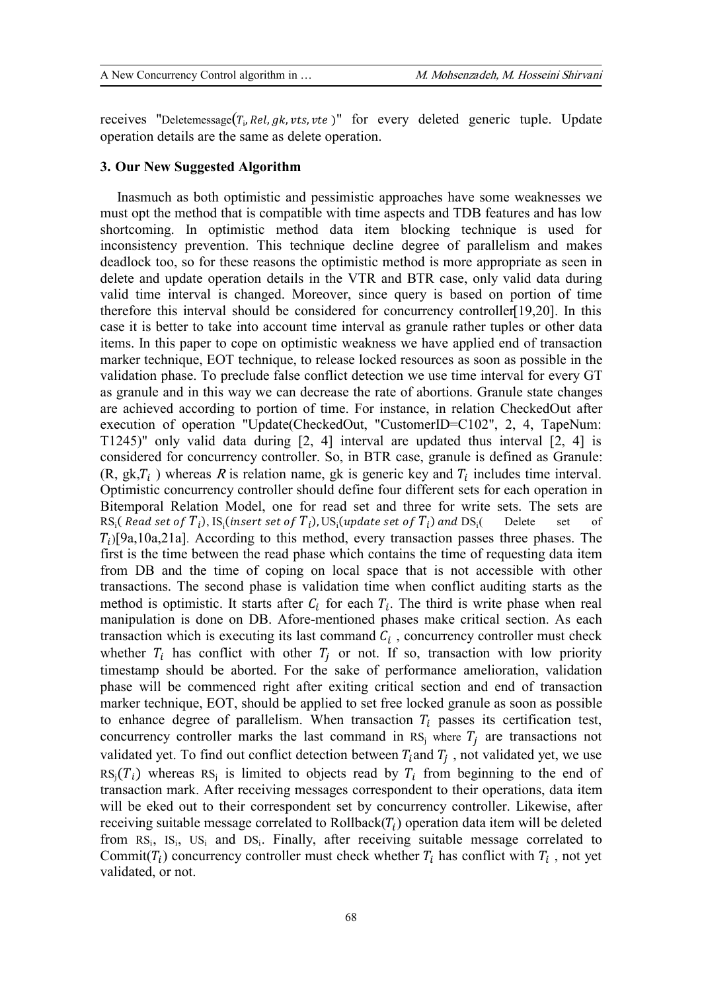receives "Deletemessage $(T_i, Rel, gk, vts, vte)$ " for every deleted generic tuple. Update operation details are the same as delete operation.

## **3. Our New Suggested Algorithm**

Inasmuch as both optimistic and pessimistic approaches have some weaknesses we must opt the method that is compatible with time aspects and TDB features and has low shortcoming. In optimistic method data item blocking technique is used for inconsistency prevention. This technique decline degree of parallelism and makes deadlock too, so for these reasons the optimistic method is more appropriate as seen in delete and update operation details in the VTR and BTR case, only valid data during valid time interval is changed. Moreover, since query is based on portion of time therefore this interval should be considered for concurrency controller[19,20]. In this case it is better to take into account time interval as granule rather tuples or other data items. In this paper to cope on optimistic weakness we have applied end of transaction marker technique, EOT technique, to release locked resources as soon as possible in the validation phase. To preclude false conflict detection we use time interval for every GT as granule and in this way we can decrease the rate of abortions. Granule state changes are achieved according to portion of time. For instance, in relation CheckedOut after execution of operation "Update(CheckedOut, "CustomerID=C102", 2, 4, TapeNum: T1245)" only valid data during [2, 4] interval are updated thus interval [2, 4] is considered for concurrency controller. So, in BTR case, granule is defined as Granule:  $(R, g k, T_i)$  whereas *R* is relation name, gk is generic key and  $T_i$  includes time interval. Optimistic concurrency controller should define four different sets for each operation in Bitemporal Relation Model, one for read set and three for write sets. The sets are  $\text{RS}_{\text{i}}($  Read set of  ${T}_{i}$ ), IS $_{\text{i}}$ (insert set of  ${T}_{i}$ ), US $_{\text{i}}$ (update set of  ${T}_{i}$ ) and  $\text{DS}_{\text{i}}$ Delete set of  $T_i$ [9a,10a,21a]. According to this method, every transaction passes three phases. The first is the time between the read phase which contains the time of requesting data item from DB and the time of coping on local space that is not accessible with other transactions. The second phase is validation time when conflict auditing starts as the method is optimistic. It starts after  $C_i$  for each  $T_i$ . The third is write phase when real manipulation is done on DB. Afore-mentioned phases make critical section. As each transaction which is executing its last command  $C_i$ , concurrency controller must check whether  $T_i$  has conflict with other  $T_i$  or not. If so, transaction with low priority timestamp should be aborted. For the sake of performance amelioration, validation phase will be commenced right after exiting critical section and end of transaction marker technique, EOT, should be applied to set free locked granule as soon as possible to enhance degree of parallelism. When transaction  $T_i$  passes its certification test, concurrency controller marks the last command in  $RS_j$  where  $T_j$  are transactions not validated yet. To find out conflict detection between  $T_i$  and  $T_i$ , not validated yet, we use  $RS_j(T_i)$  whereas  $RS_j$  is limited to objects read by  $T_i$  from beginning to the end of transaction mark. After receiving messages correspondent to their operations, data item will be eked out to their correspondent set by concurrency controller. Likewise, after receiving suitable message correlated to  $Rollback(T_i)$  operation data item will be deleted from  $RS_i$ ,  $IS_i$ ,  $US_i$  and  $DS_i$ . Finally, after receiving suitable message correlated to Commit( $T_i$ ) concurrency controller must check whether  $T_i$  has conflict with  $T_i$ , not yet validated, or not.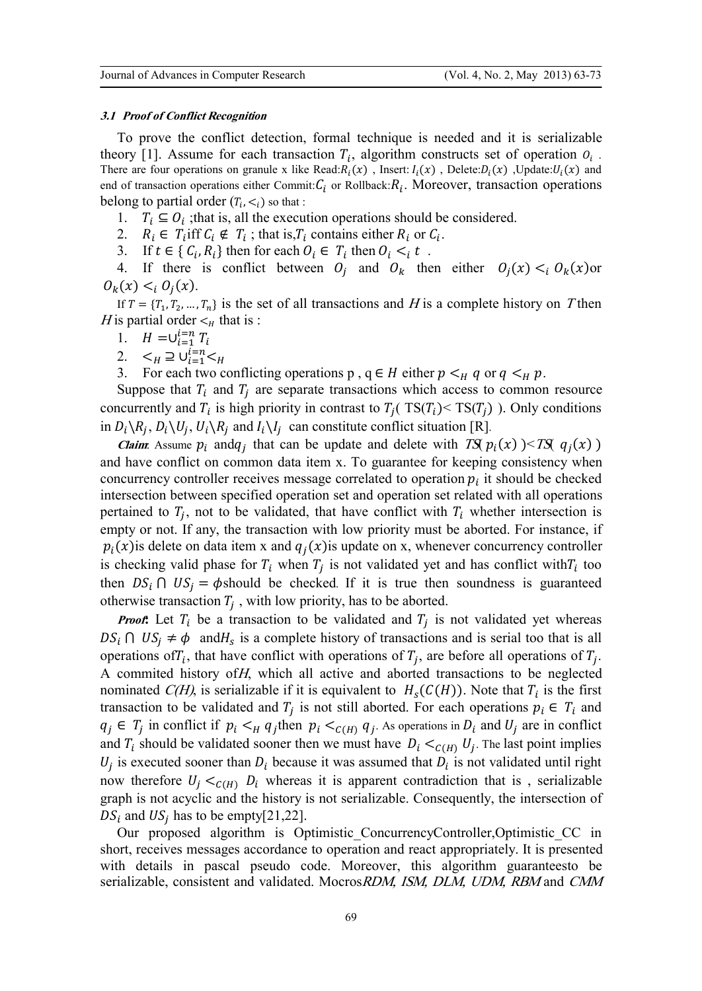#### *3.1 Proof of Conflict Recognition*

To prove the conflict detection, formal technique is needed and it is serializable theory [1]. Assume for each transaction  $T_i$ , algorithm constructs set of operation  $O_i$ . There are four operations on granule x like Read:  $R_i(x)$ , Insert:  $I_i(x)$ , Delete:  $D_i(x)$ , Update:  $U_i(x)$  and end of transaction operations either Commit:  $C_i$  or Rollback:  $R_i$ . Moreover, transaction operations belong to partial order  $(T_i, \leq_i)$  so that :

- 1.  $T_i \subseteq O_i$ ; that is, all the execution operations should be considered.
- 2.  $R_i \in T_i$  iff  $C_i \notin T_i$ ; that is,  $T_i$  contains either  $R_i$  or  $C_i$ .
- 3. If  $t \in \{C_i, R_i\}$  then for each  $O_i \in T_i$  then  $O_i \leq_i t$ .

4. If there is conflict between  $O_j$  and  $O_k$  then either  $O_j(x) < i O_k(x)$  or  $O_k(x) < i \ O_j(x)$ .

If  $T = \{T_1, T_2, ..., T_n\}$  is the set of all transactions and *H* is a complete history on *T* then *H* is partial order  $\lt_h$  that is :

- 1.  $H = \cup_{i}^{U}$
- 2.  $\leq_H \supseteq \bigcup_{i=1}^{L=n} \leq_H$
- 3. For each two conflicting operations p,  $q \in H$  either  $p \lt_H q$  or  $q \lt_H p$ .

Suppose that  $T_i$  and  $T_j$  are separate transactions which access to common resource concurrently and  $T_i$  is high priority in contrast to  $T_j$  (TS( $T_i$ )  $\leq$  TS( $T_j$ ) ). Only conditions in  $D_i \setminus R_j$ ,  $D_i \setminus U_j$ ,  $U_i \setminus R_j$  and  $I_i \setminus I_j$  can constitute conflict situation [R].

*Claim:* Assume  $p_i$  and  $q_j$  that can be update and delete with *TS*( $p_i(x)$ )  $\leq$ *TS*( $q_j(x)$ ) and have conflict on common data item x. To guarantee for keeping consistency when concurrency controller receives message correlated to operation  $p_i$  it should be checked intersection between specified operation set and operation set related with all operations pertained to  $T_i$ , not to be validated, that have conflict with  $T_i$  whether intersection is empty or not. If any, the transaction with low priority must be aborted. For instance, if  $p_i(x)$  is delete on data item x and  $q_j(x)$  is update on x, whenever concurrency controller is checking valid phase for  $T_i$  when  $T_j$  is not validated yet and has conflict with  $T_i$  too then  $DS_i \cap US_j = \phi$ should be checked. If it is true then soundness is guaranteed otherwise transaction  $T_i$ , with low priority, has to be aborted.

*Proof***:** Let  $T_i$  be a transaction to be validated and  $T_i$  is not validated yet whereas  $DS_i \cap US_j \neq \emptyset$  and  $H_s$  is a complete history of transactions and is serial too that is all operations of  $T_i$ , that have conflict with operations of  $T_j$ , are before all operations of  $T_j$ . A commited history of*H*, which all active and aborted transactions to be neglected nominated *C(H)*, is serializable if it is equivalent to  $H_s(C(H))$ . Note that  $T_i$  is the first transaction to be validated and  $T_j$  is not still aborted. For each operations  $p_i \in T_i$  and  $q_j \in T_j$  in conflict if  $p_i \lt_{H} q_j$ then  $p_i \lt_{C(H)} q_j$ . As operations in  $D_i$  and  $U_j$  are in conflict and  $T_i$  should be validated sooner then we must have  $D_i \lt_{C(H)} U_j$ . The last point implies  $U_j$  is executed sooner than  $D_i$  because it was assumed that  $D_i$  is not validated until right now therefore  $U_i \lt_{C(H)} D_i$  whereas it is apparent contradiction that is, serializable graph is not acyclic and the history is not serializable. Consequently, the intersection of  $DS_i$  and  $US_j$  has to be empty[21,22].

Our proposed algorithm is Optimistic ConcurrencyController,Optimistic CC in short, receives messages accordance to operation and react appropriately. It is presented with details in pascal pseudo code. Moreover, this algorithm guaranteesto be serializable, consistent and validated. Mocros*RDM, ISM, DLM, UDM, RBM* and *CMM*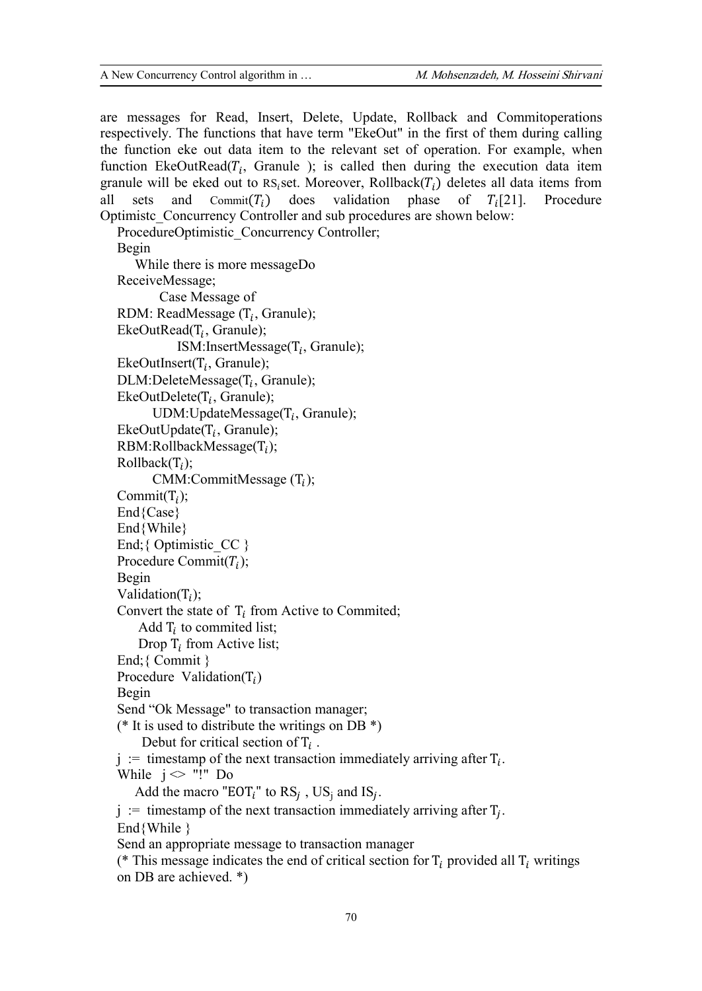are messages for Read, Insert, Delete, Update, Rollback and Commitoperations respectively. The functions that have term "EkeOut" in the first of them during calling the function eke out data item to the relevant set of operation. For example, when function EkeOutRead( $T_i$ , Granule ); is called then during the execution data item granule will be eked out to RS<sub>i</sub>set. Moreover, Rollback( $T_i$ ) deletes all data items from all sets and Commit( $T_i$ ) does validation phase of  $T_i$ [21]. Procedure Commit $(T_i)$ Procedure Optimistc\_Concurrency Controller and sub procedures are shown below:

ProcedureOptimistic\_Concurrency Controller; Begin While there is more messageDo ReceiveMessage; Case Message of RDM: ReadMessage  $(T_i, Gramule);$  $EkeOutRead(T_i, Granule);$ ISM:InsertMessage( $T_i$ , Granule);  $EkeOutInsert(T_i, Granule);$  $DLM:DeleteMessage(T_i, Granule);$  $EkeOutDelete(T_i, Granule);$ UDM:UpdateMessage $(T_i,$  Granule);  $E$ keOutUpdate( $T_i$ , Granule);  $RBM:RollbackMessage(T_i);$  $Rollback(T_i);$  $CMM:CommitMessage (T_i);$ Commit $(T_i)$ ; End{Case} End{While} End; { Optimistic  $CC$  } Procedure Commit $(T_i)$ ; Begin Validation( $T_i$ ); Convert the state of  $T_i$  from Active to Commited; Add  $T_i$  to commited list; Drop  $T_i$  from Active list; End;{ Commit } Procedure Validation( $T_i$ ) Begin Send "Ok Message" to transaction manager; (\* It is used to distribute the writings on DB  $^*$ ) Debut for critical section of  $T_i$ .  $j :=$  timestamp of the next transaction immediately arriving after  $T_i$ . While  $i \diamond$  "!" Do Add the macro "EOT<sub>i</sub>" to  $RS_j$ ,  $US_j$  and  $IS_j$ . j := timestamp of the next transaction immediately arriving after  $T_j$ .  $End\{While\}$ Send an appropriate message to transaction manager

(\* This message indicates the end of critical section for  $T_i$  provided all  $T_i$  writings on DB are achieved. \*)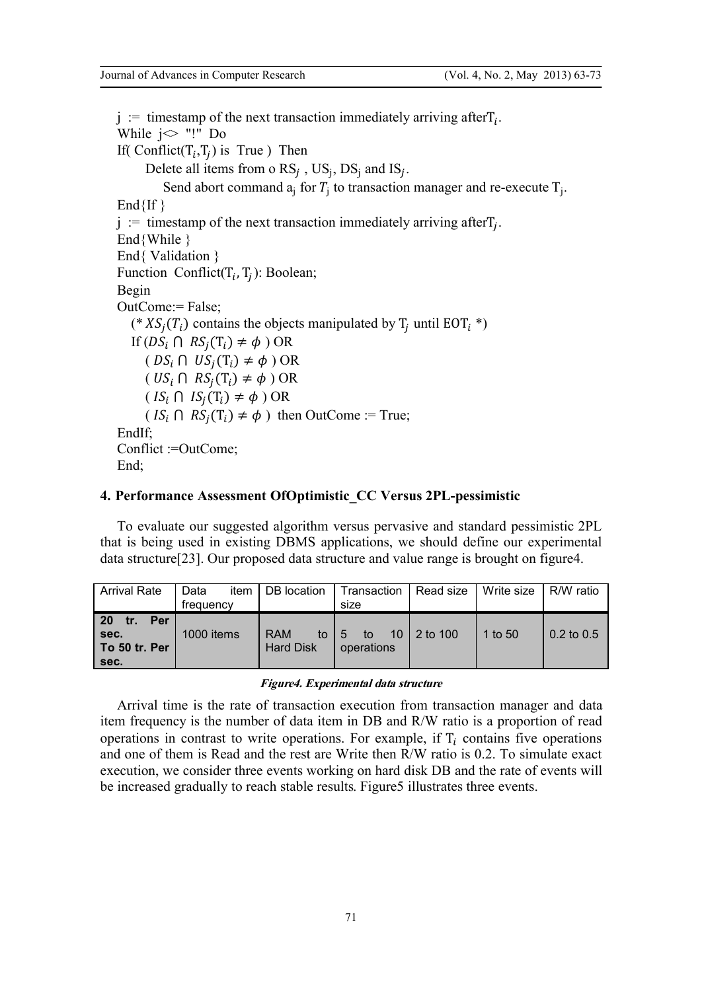$j :=$  timestamp of the next transaction immediately arriving after  $T_i$ . While  $i \diamond$  "!" Do If(  $\text{Conflict}(T_i, T_j)$  is True) Then Delete all items from o  $RS_j$ ,  $US_j$ ,  $DS_j$  and  $IS_j$ . Send abort command  $a_j$  for  $T_j$  to transaction manager and re-execute  $T_j$ .  $End{If}$  $j :=$  timestamp of the next transaction immediately arriving after  $T_j$ . End{While } End{ Validation } Function Conflict( $T_i$ ,  $T_j$ ): Boolean; Begin OutCome:= False; (\*  $XS_j(T_i)$  contains the objects manipulated by T<sub>j</sub> until EOT<sub>i</sub> \*) If  $(DS_i \cap RS_i(T_i) \neq \phi)$  OR  $(DS_i \cap US_j(T_i) \neq \phi)$  OR  $( US_i \cap RS_j(T_i) \neq \phi)$  OR  $\left( IS_{i} \cap IS_{j}(T_{i}) \neq \phi \right)$  OR  $(IS_i \cap RS_j(T_i) \neq \phi)$  then OutCome := True; EndIf; Conflict :=OutCome; End:

## **4. Performance Assessment OfOptimistic\_CC Versus 2PL-pessimistic**

To evaluate our suggested algorithm versus pervasive and standard pessimistic 2PL that is being used in existing DBMS applications, we should define our experimental data structure[23]. Our proposed data structure and value range is brought on figure4.

| <b>Arrival Rate</b>                                      | DB location<br>item I<br>Data<br>frequency |                                      | Transaction  <br>size   | Read size   | Write size I | R/W ratio      |  |
|----------------------------------------------------------|--------------------------------------------|--------------------------------------|-------------------------|-------------|--------------|----------------|--|
| <b>20</b><br>Per<br>tr.<br>sec.<br>To 50 tr. Per<br>sec. | 1000 items                                 | <b>RAM</b><br>to<br><b>Hard Disk</b> | I 5<br>to<br>operations | 10 2 to 100 | 1 to 50      | $0.2$ to $0.5$ |  |

#### *Figure4. Experimental data structure*

Arrival time is the rate of transaction execution from transaction manager and data item frequency is the number of data item in DB and R/W ratio is a proportion of read operations in contrast to write operations. For example, if  $T_i$  contains five operations and one of them is Read and the rest are Write then R/W ratio is 0.2. To simulate exact execution, we consider three events working on hard disk DB and the rate of events will be increased gradually to reach stable results. Figure5 illustrates three events.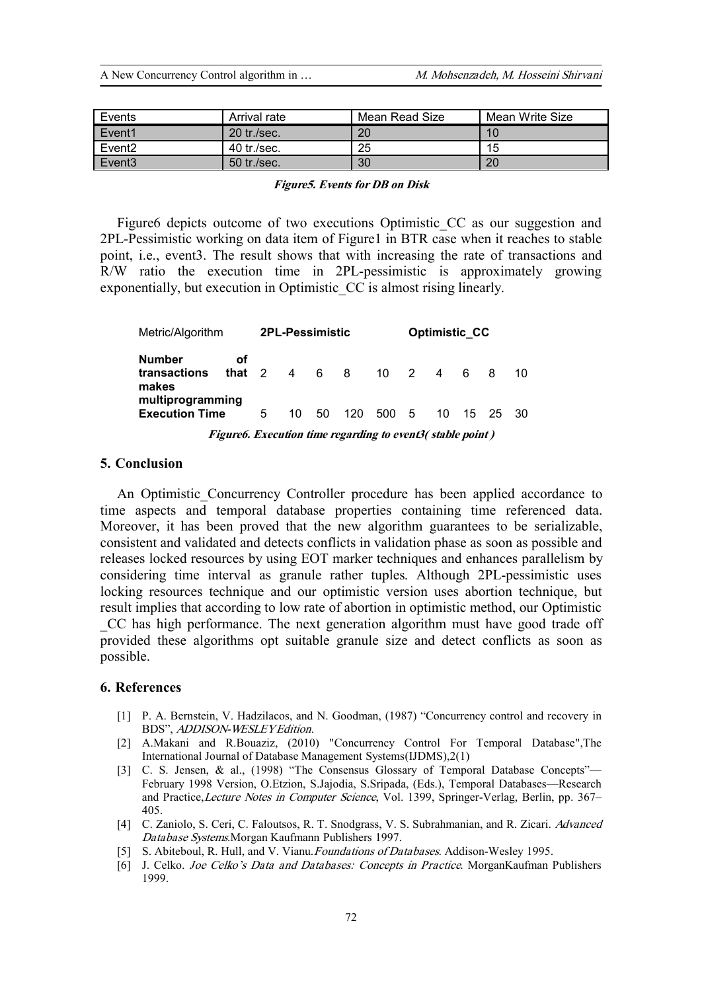| Events             | Arrival rate  | Mean Read Size | Mean Write Size |
|--------------------|---------------|----------------|-----------------|
| Event <sub>1</sub> | 20 tr./sec.   | 20             | 10              |
| Event <sub>2</sub> | $40$ tr./sec. | 25             | 15              |
| Event <sub>3</sub> | 50 tr./sec.   | 30             | 20              |

#### *Figure5. Events for DB on Disk*

Figure6 depicts outcome of two executions Optimistic CC as our suggestion and 2PL-Pessimistic working on data item of Figure1 in BTR case when it reaches to stable point, i.e., event3. The result shows that with increasing the rate of transactions and R/W ratio the execution time in 2PL-pessimistic is approximately growing exponentially, but execution in Optimistic\_CC is almost rising linearly.

| Metric/Algorithm                          |                                                           | <b>2PL-Pessimistic</b> |    |       |       | <b>Optimistic CC</b> |  |        |     |          |     |
|-------------------------------------------|-----------------------------------------------------------|------------------------|----|-------|-------|----------------------|--|--------|-----|----------|-----|
| <b>Number</b><br>transactions<br>makes    | οf<br>that 2                                              |                        |    | 4 6 8 |       |                      |  | 10 2 4 | 6 8 |          | 10. |
| multiprogramming<br><b>Execution Time</b> |                                                           | 5                      | 10 | 50    | - 120 | 500 5                |  | 10 L   |     | 15 25 30 |     |
|                                           | Figure6. Execution time regarding to event3(stable point) |                        |    |       |       |                      |  |        |     |          |     |

## **5. Conclusion**

An Optimistic Concurrency Controller procedure has been applied accordance to time aspects and temporal database properties containing time referenced data. Moreover, it has been proved that the new algorithm guarantees to be serializable, consistent and validated and detects conflicts in validation phase as soon as possible and releases locked resources by using EOT marker techniques and enhances parallelism by considering time interval as granule rather tuples. Although 2PL-pessimistic uses locking resources technique and our optimistic version uses abortion technique, but result implies that according to low rate of abortion in optimistic method, our Optimistic \_CC has high performance. The next generation algorithm must have good trade off provided these algorithms opt suitable granule size and detect conflicts as soon as possible.

### **6. References**

- [1] P. A. Bernstein, V. Hadzilacos, and N. Goodman, (1987) "Concurrency control and recovery in BDS", *ADDISON-WESLEY Edition*.
- [2] A.Makani and R.Bouaziz, (2010) "Concurrency Control For Temporal Database",The International Journal of Database Management Systems(IJDMS),2(1)
- [3] C. S. Jensen, & al., (1998) "The Consensus Glossary of Temporal Database Concepts"-February 1998 Version, O.Etzion, S.Jajodia, S.Sripada, (Eds.), Temporal Databases––Research and Practice,*Lecture Notes in Computer Science*, Vol. 1399, Springer-Verlag, Berlin, pp. 367– 405.
- [4] C. Zaniolo, S. Ceri, C. Faloutsos, R. T. Snodgrass, V. S. Subrahmanian, and R. Zicari. *Advanced Database Systems*.Morgan Kaufmann Publishers 1997.
- [5] S. Abiteboul, R. Hull, and V. Vianu.*Foundations of Databases*. Addison-Wesley 1995.
- [6] J. Celko. *Joe Celko'<sup>s</sup> Data and Databases: Concepts in Practice*. MorganKaufman Publishers 1999.